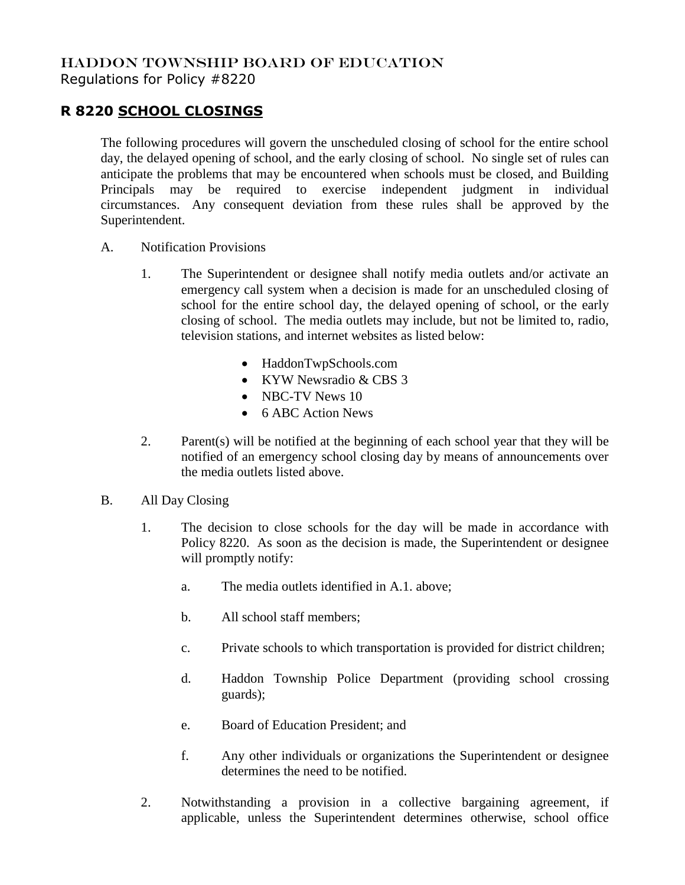## HADDON TOWNSHIP BOARD OF EDUCATION

Regulations for Policy #8220

## **R 8220 SCHOOL CLOSINGS**

The following procedures will govern the unscheduled closing of school for the entire school day, the delayed opening of school, and the early closing of school. No single set of rules can anticipate the problems that may be encountered when schools must be closed, and Building Principals may be required to exercise independent judgment in individual circumstances. Any consequent deviation from these rules shall be approved by the Superintendent.

- A. Notification Provisions
	- 1. The Superintendent or designee shall notify media outlets and/or activate an emergency call system when a decision is made for an unscheduled closing of school for the entire school day, the delayed opening of school, or the early closing of school. The media outlets may include, but not be limited to, radio, television stations, and internet websites as listed below:
		- HaddonTwpSchools.com
		- KYW Newsradio & CBS 3
		- NBC-TV News 10
		- 6 ABC Action News
	- 2. Parent(s) will be notified at the beginning of each school year that they will be notified of an emergency school closing day by means of announcements over the media outlets listed above.
- B. All Day Closing
	- 1. The decision to close schools for the day will be made in accordance with Policy 8220. As soon as the decision is made, the Superintendent or designee will promptly notify:
		- a. The media outlets identified in A.1. above;
		- b. All school staff members;
		- c. Private schools to which transportation is provided for district children;
		- d. Haddon Township Police Department (providing school crossing guards);
		- e. Board of Education President; and
		- f. Any other individuals or organizations the Superintendent or designee determines the need to be notified.
	- 2. Notwithstanding a provision in a collective bargaining agreement, if applicable, unless the Superintendent determines otherwise, school office